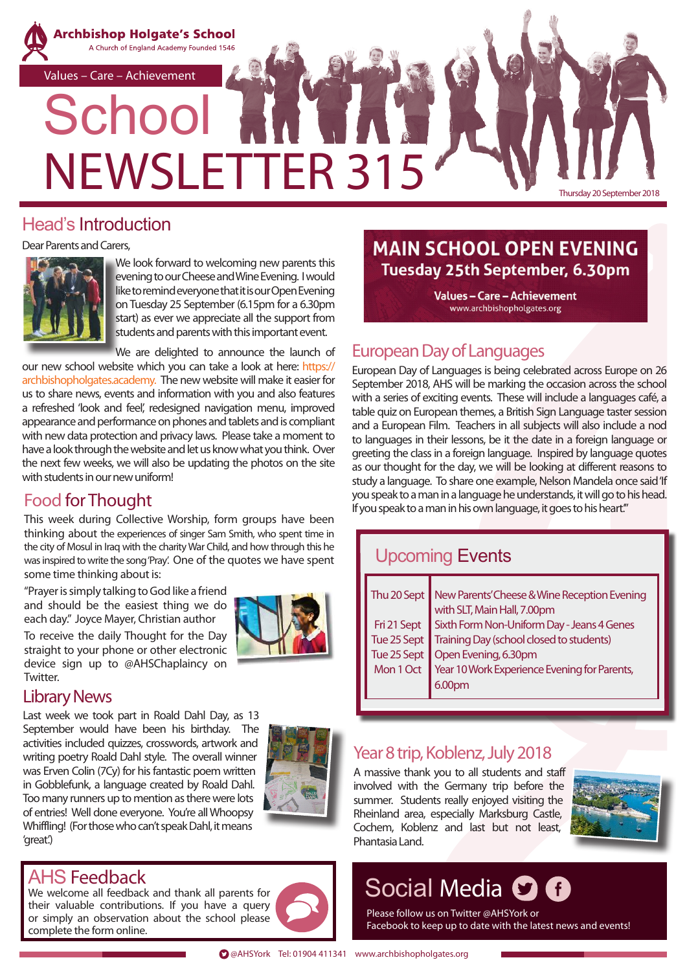

#### Head's Introduction

Dear Parents and Carers,



We look forward to welcoming new parents this evening to our Cheese and Wine Evening. I would like to remind everyone that it is our Open Evening on Tuesday 25 September (6.15pm for a 6.30pm start) as ever we appreciate all the support from students and parents with this important event.

We are delighted to announce the launch of

our new school website which you can take a look at here: https:// archbishopholgates.academy. The new website will make it easier for us to share news, events and information with you and also features a refreshed 'look and feel', redesigned navigation menu, improved appearance and performance on phones and tablets and is compliant with new data protection and privacy laws. Please take a moment to have a look through the website and let us know what you think. Over the next few weeks, we will also be updating the photos on the site with students in our new uniform!

#### Food for Thought

This week during Collective Worship, form groups have been thinking about the experiences of singer Sam Smith, who spent time in the city of Mosul in Iraq with the charity War Child, and how through this he was inspired to write the song 'Pray'. One of the quotes we have spent some time thinking about is:

"Prayer is simply talking to God like a friend and should be the easiest thing we do each day." Joyce Mayer, Christian author

To receive the daily Thought for the Day straight to your phone or other electronic device sign up to @AHSChaplaincy on **Twitter** 



#### Library News

Last week we took part in Roald Dahl Day, as 13 September would have been his birthday. The activities included quizzes, crosswords, artwork and writing poetry Roald Dahl style. The overall winner was Erven Colin (7Cy) for his fantastic poem written in Gobblefunk, a language created by Roald Dahl. Too many runners up to mention as there were lots of entries! Well done everyone. You're all Whoopsy Whiffling! (For those who can't speak Dahl, it means 'great'.)



# AHS Feedback

We welcome all feedback and thank all parents for their valuable contributions. If you have a query or simply an observation about the school please complete the form online.

# **MAIN SCHOOL OPEN EVENING** Tuesday 25th September, 6.30pm

**Values-Care-Achievement** www.archbishopholgates.org

#### European Day of Languages

European Day of Languages is being celebrated across Europe on 26 September 2018, AHS will be marking the occasion across the school with a series of exciting events. These will include a languages café, a table quiz on European themes, a British Sign Language taster session and a European Film. Teachers in all subjects will also include a nod to languages in their lessons, be it the date in a foreign language or greeting the class in a foreign language. Inspired by language quotes as our thought for the day, we will be looking at different reasons to study a language. To share one example, Nelson Mandela once said 'If you speak to a man in a language he understands, it will go to his head. If you speak to a man in his own language, it goes to his heart.'"

# Upcoming Events

| Thu 20 Sept   New Parents' Cheese & Wine Reception Evening                                                           |  |  |  |
|----------------------------------------------------------------------------------------------------------------------|--|--|--|
| with SLT, Main Hall, 7.00pm                                                                                          |  |  |  |
|                                                                                                                      |  |  |  |
| Fri 21 Sept<br>Sixth Form Non-Uniform Day - Jeans 4 Genes<br>Tue 25 Sept<br>Training Day (school closed to students) |  |  |  |
| Tue 25 Sept   Open Evening, 6.30pm                                                                                   |  |  |  |
| Mon 1 Oct Year 10 Work Experience Evening for Parents,                                                               |  |  |  |
|                                                                                                                      |  |  |  |
|                                                                                                                      |  |  |  |

#### Year 8 trip, Koblenz, July 2018

A massive thank you to all students and staff involved with the Germany trip before the summer. Students really enjoyed visiting the Rheinland area, especially Marksburg Castle, Cochem, Koblenz and last but not least, Phantasia Land.



# Social Media **O A**

Please follow us on Twitter @AHSYork or Facebook to keep up to date with the latest news and events!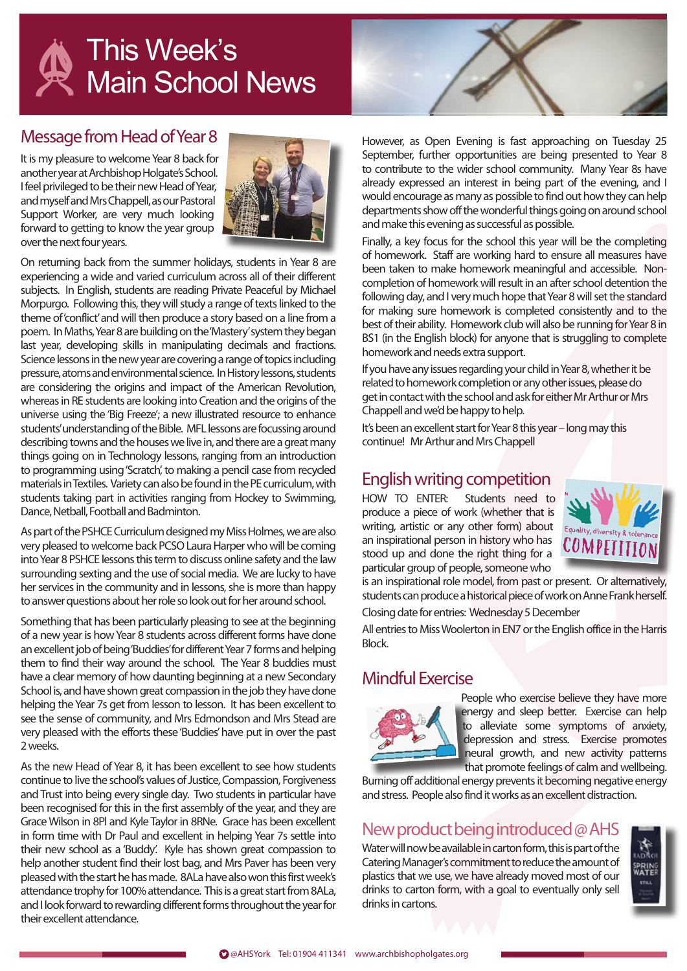

#### Message from Head of Year 8

It is my pleasure to welcome Year 8 back for another year at Archbishop Holgate's School. I feel privileged to be their new Head of Year, and myself and Mrs Chappell, as our Pastoral Support Worker, are very much looking forward to getting to know the year group over the next four years.



On returning back from the summer holidays, students in Year 8 are experiencing a wide and varied curriculum across all of their different subjects. In English, students are reading Private Peaceful by Michael Morpurgo. Following this, they will study a range of texts linked to the theme of 'conflict' and will then produce a story based on a line from a poem. In Maths, Year 8 are building on the 'Mastery' system they began last year, developing skills in manipulating decimals and fractions. Science lessons in the new year are covering a range of topics including pressure, atoms and environmental science. In History lessons, students are considering the origins and impact of the American Revolution, whereas in RE students are looking into Creation and the origins of the universe using the 'Big Freeze'; a new illustrated resource to enhance students' understanding of the Bible. MFL lessons are focussing around describing towns and the houses we live in, and there are a great many things going on in Technology lessons, ranging from an introduction to programming using 'Scratch', to making a pencil case from recycled materials in Textiles. Variety can also be found in the PE curriculum, with students taking part in activities ranging from Hockey to Swimming, Dance, Netball, Football and Badminton.

As part of the PSHCE Curriculum designed my Miss Holmes, we are also very pleased to welcome back PCSO Laura Harper who will be coming into Year 8 PSHCE lessons this term to discuss online safety and the law surrounding sexting and the use of social media. We are lucky to have her services in the community and in lessons, she is more than happy to answer questions about her role so look out for her around school.

Something that has been particularly pleasing to see at the beginning of a new year is how Year 8 students across different forms have done an excellent job of being 'Buddies' for different Year 7 forms and helping them to find their way around the school. The Year 8 buddies must have a clear memory of how daunting beginning at a new Secondary School is, and have shown great compassion in the job they have done helping the Year 7s get from lesson to lesson. It has been excellent to see the sense of community, and Mrs Edmondson and Mrs Stead are very pleased with the efforts these 'Buddies' have put in over the past 2 weeks.

As the new Head of Year 8, it has been excellent to see how students continue to live the school's values of Justice, Compassion, Forgiveness and Trust into being every single day. Two students in particular have been recognised for this in the first assembly of the year, and they are Grace Wilson in 8Pl and Kyle Taylor in 8RNe. Grace has been excellent in form time with Dr Paul and excellent in helping Year 7s settle into their new school as a 'Buddy'. Kyle has shown great compassion to help another student find their lost bag, and Mrs Paver has been very pleased with the start he has made. 8ALa have also won this first week's attendance trophy for 100% attendance. This is a great start from 8ALa, and I look forward to rewarding different forms throughout the year for their excellent attendance.



However, as Open Evening is fast approaching on Tuesday 25 September, further opportunities are being presented to Year 8 to contribute to the wider school community. Many Year 8s have already expressed an interest in being part of the evening, and I would encourage as many as possible to find out how they can help departments show off the wonderful things going on around school and make this evening as successful as possible.

Finally, a key focus for the school this year will be the completing of homework. Staff are working hard to ensure all measures have been taken to make homework meaningful and accessible. Noncompletion of homework will result in an after school detention the following day, and I very much hope that Year 8 will set the standard for making sure homework is completed consistently and to the best of their ability. Homework club will also be running for Year 8 in BS1 (in the English block) for anyone that is struggling to complete homework and needs extra support.

If you have any issues regarding your child in Year 8, whether it be related to homework completion or any other issues, please do get in contact with the school and ask for either Mr Arthur or Mrs Chappell and we'd be happy to help.

It's been an excellent start for Year 8 this year – long may this continue! Mr Arthur and Mrs Chappell

### English writing competition

HOW TO ENTER: Students need to produce a piece of work (whether that is writing, artistic or any other form) about an inspirational person in history who has stood up and done the right thing for a particular group of people, someone who



is an inspirational role model, from past or present. Or alternatively, students can produce a historical piece of work on Anne Frank herself.

Closing date for entries: Wednesday 5 December

All entries to Miss Woolerton in EN7 or the English office in the Harris Block.

#### Mindful Exercise



People who exercise believe they have more energy and sleep better. Exercise can help to alleviate some symptoms of anxiety, depression and stress. Exercise promotes neural growth, and new activity patterns that promote feelings of calm and wellbeing.

Burning off additional energy prevents it becoming negative energy and stress. People also find it works as an excellent distraction.

#### New product being introduced @ AHS

Water will now be available in carton form, this is part of the Catering Manager's commitment to reduce the amount of plastics that we use, we have already moved most of our drinks to carton form, with a goal to eventually only sell drinks in cartons.

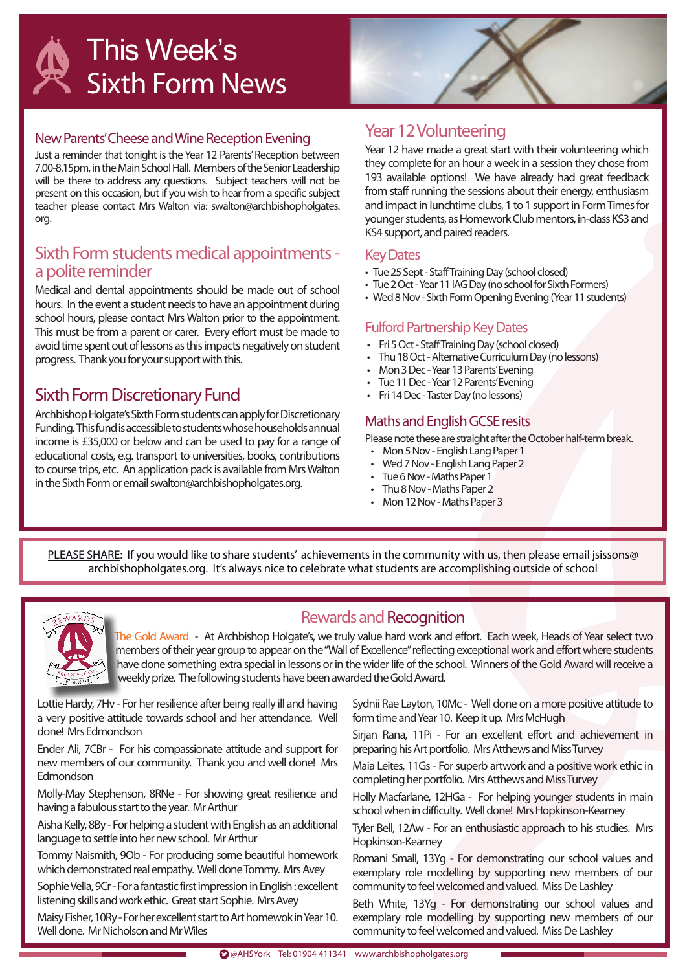

#### New Parents' Cheese and Wine Reception Evening

Just a reminder that tonight is the Year 12 Parents' Reception between 7.00-8.15pm, in the Main School Hall. Members of the Senior Leadership will be there to address any questions. Subject teachers will not be present on this occasion, but if you wish to hear from a specific subject teacher please contact Mrs Walton via: swalton@archbishopholgates. org.

#### Sixth Form students medical appointments a polite reminder

Medical and dental appointments should be made out of school hours. In the event a student needs to have an appointment during school hours, please contact Mrs Walton prior to the appointment. This must be from a parent or carer. Every effort must be made to avoid time spent out of lessons as this impacts negatively on student progress. Thank you for your support with this.

#### Sixth Form Discretionary Fund

Archbishop Holgate's Sixth Form students can apply for Discretionary Funding. This fund is accessible to students whose households annual income is £35,000 or below and can be used to pay for a range of educational costs, e.g. transport to universities, books, contributions to course trips, etc. An application pack is available from Mrs Walton in the Sixth Form or email swalton@archbishopholgates.org.

#### Year 12 Volunteering

Year 12 have made a great start with their volunteering which they complete for an hour a week in a session they chose from 193 available options! We have already had great feedback from staff running the sessions about their energy, enthusiasm and impact in lunchtime clubs, 1 to 1 support in Form Times for younger students, as Homework Club mentors, in-class KS3 and KS4 support, and paired readers.

#### Key Dates

- Tue 25 Sept Staff Training Day (school closed)
- Tue 2 Oct Year 11 IAG Day (no school for Sixth Formers)
- Wed 8 Nov Sixth Form Opening Evening (Year 11 students)

#### Fulford Partnership Key Dates

- Fri 5 Oct Staff Training Day (school closed)
- Thu 18 Oct Alternative Curriculum Day (no lessons)
- Mon 3 Dec Year 13 Parents' Evening
- Tue 11 Dec Year 12 Parents' Evening
- Fri 14 Dec Taster Day (no lessons)

#### Maths and English GCSE resits

Please note these are straight after the October half-term break.

- Mon 5 Nov English Lang Paper 1
- Wed 7 Nov English Lang Paper 2
- Tue 6 Nov Maths Paper 1
- Thu 8 Nov Maths Paper 2
- Mon 12 Nov Maths Paper 3

PLEASE SHARE: If you would like to share students' achievements in the community with us, then please email jsissons@ archbishopholgates.org. It's always nice to celebrate what students are accomplishing outside of school



#### Rewards and Recognition

The Gold Award - At Archbishop Holgate's, we truly value hard work and effort. Each week, Heads of Year select two members of their year group to appear on the "Wall of Excellence" reflecting exceptional work and effort where students have done something extra special in lessons or in the wider life of the school. Winners of the Gold Award will receive a weekly prize. The following students have been awarded the Gold Award.

Lottie Hardy, 7Hv - For her resilience after being really ill and having a very positive attitude towards school and her attendance. Well done! Mrs Edmondson

Ender Ali, 7CBr - For his compassionate attitude and support for new members of our community. Thank you and well done! Mrs Edmondson

Molly-May Stephenson, 8RNe - For showing great resilience and having a fabulous start to the year. Mr Arthur

Aisha Kelly, 8By - For helping a student with English as an additional language to settle into her new school. Mr Arthur

Tommy Naismith, 9Ob - For producing some beautiful homework which demonstrated real empathy. Well done Tommy. Mrs Avey

Sophie Vella, 9Cr - For a fantastic first impression in English : excellent listening skills and work ethic. Great start Sophie. Mrs Avey

Maisy Fisher, 10Ry - For her excellent start to Art homewok in Year 10. Well done. Mr Nicholson and Mr Wiles

Sydnii Rae Layton, 10Mc - Well done on a more positive attitude to form time and Year 10. Keep it up. Mrs McHugh

Sirjan Rana, 11Pi - For an excellent effort and achievement in preparing his Art portfolio. Mrs Atthews and Miss Turvey

Maia Leites, 11Gs - For superb artwork and a positive work ethic in completing her portfolio. Mrs Atthews and Miss Turvey

Holly Macfarlane, 12HGa - For helping younger students in main school when in difficulty. Well done! Mrs Hopkinson-Kearney

Tyler Bell, 12Aw - For an enthusiastic approach to his studies. Mrs Hopkinson-Kearney

Romani Small, 13Yg - For demonstrating our school values and exemplary role modelling by supporting new members of our community to feel welcomed and valued. Miss De Lashley

Beth White, 13Yg - For demonstrating our school values and exemplary role modelling by supporting new members of our community to feel welcomed and valued. Miss De Lashley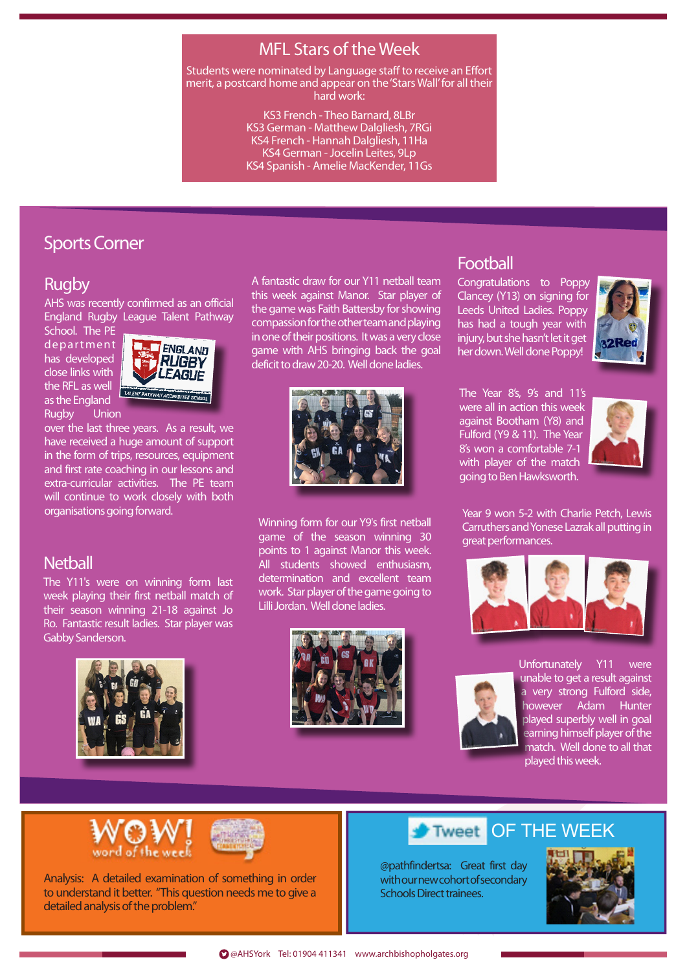# MFL Stars of the Week

Students were nominated by Language staff to receive an Effort merit, a postcard home and appear on the 'Stars Wall' for all their hard work:

> KS3 French - Theo Barnard, 8LBr KS3 German - Matthew Dalgliesh, 7RGi KS4 French - Hannah Dalgliesh, 11Ha KS4 German - Jocelin Leites, 9Lp KS4 Spanish - Amelie MacKender, 11Gs

# Sports Corner

#### Rugby

AHS was recently confirmed as an official England Rugby League Talent Pathway

School. The PE department has developed close links with the RFL as well as the England Rugby Union



over the last three years. As a result, we have received a huge amount of support in the form of trips, resources, equipment and first rate coaching in our lessons and extra-curricular activities. The PE team will continue to work closely with both organisations going forward.

#### **Netball**

The Y11's were on winning form last week playing their first netball match of their season winning 21-18 against Jo Ro. Fantastic result ladies. Star player was Gabby Sanderson.



A fantastic draw for our Y11 netball team this week against Manor. Star player of the game was Faith Battersby for showing compassion for the other team and playing in one of their positions. It was a very close game with AHS bringing back the goal deficit to draw 20-20. Well done ladies.



Winning form for our Y9's first netball game of the season winning 30 points to 1 against Manor this week. All students showed enthusiasm, determination and excellent team work. Star player of the game going to Lilli Jordan. Well done ladies.



#### Football

Congratulations to Poppy Clancey (Y13) on signing for Leeds United Ladies. Poppy has had a tough year with injury, but she hasn't let it get her down. Well done Poppy!



The Year 8's, 9's and 11's were all in action this week against Bootham (Y8) and Fulford (Y9 & 11). The Year 8's won a comfortable 7-1 with player of the match going to Ben Hawksworth.



Year 9 won 5-2 with Charlie Petch, Lewis Carruthers and Yonese Lazrak all putting in great performances.





Unfortunately Y11 were unable to get a result against a very strong Fulford side, however Adam Hunter played superbly well in goal earning himself player of the match. Well done to all that played this week.

word of the wee



Analysis: A detailed examination of something in order to understand it better. "This question needs me to give a detailed analysis of the problem."

#### OF THE WEEK Tweet

@pathfindertsa: Great first day with our new cohort of secondary Schools Direct trainees.